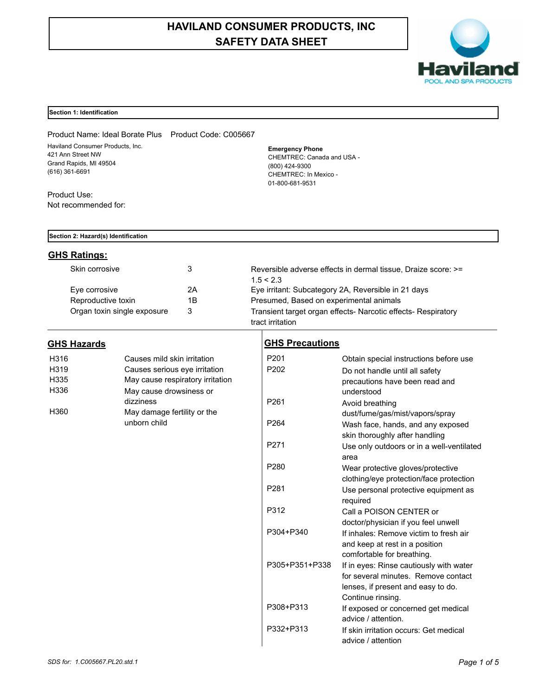## **HAVILAND CONSUMER PRODUCTS, INC SAFETY DATA SHEET**



#### **Section 1: Identification**

Product Name: Ideal Borate Plus Product Code: C005667 Haviland Consumer Products, Inc. 421 Ann Street NW Grand Rapids, MI 49504 (616) 361-6691

Product Use: Not recommended for: **Emergency Phone** CHEMTREC: Canada and USA - (800) 424-9300 CHEMTREC: In Mexico - 01-800-681-9531

#### **Section 2: Hazard(s) Identification**

#### **GHS Ratings:**

**GHS Hazards**

|    | Reversible adverse effects in dermal tissue, Draize score: >= |
|----|---------------------------------------------------------------|
|    | 1.5 < 2.3                                                     |
| 2Α | Eye irritant: Subcategory 2A, Reversible in 21 days           |
| 1Β | Presumed, Based on experimental animals                       |
|    | Transient target organ effects- Narcotic effects- Respiratory |
|    |                                                               |

| H316              | Causes mild skin irritation                 |
|-------------------|---------------------------------------------|
| H <sub>3</sub> 19 | Causes serious eye irritation               |
| H335              | May cause respiratory irritation            |
| H336              | May cause drowsiness or<br>dizziness        |
| H360              | May damage fertility or the<br>unborn child |

# tract irritation

| <b>GHS Precautions</b> |                                                          |
|------------------------|----------------------------------------------------------|
| P <sub>201</sub>       | Obtain special instructions before use                   |
| P <sub>202</sub>       | Do not handle until all safety                           |
|                        | precautions have been read and                           |
|                        | understood                                               |
| P <sub>261</sub>       | Avoid breathing                                          |
|                        | dust/fume/gas/mist/vapors/spray                          |
| P <sub>264</sub>       | Wash face, hands, and any exposed                        |
|                        | skin thoroughly after handling                           |
| P <sub>271</sub>       | Use only outdoors or in a well-ventilated                |
|                        | area                                                     |
| P <sub>280</sub>       | Wear protective gloves/protective                        |
|                        | clothing/eye protection/face protection                  |
| P <sub>281</sub>       | Use personal protective equipment as                     |
|                        | required                                                 |
| P312                   | Call a POISON CENTER or                                  |
|                        | doctor/physician if you feel unwell                      |
| P304+P340              | If inhales: Remove victim to fresh air                   |
|                        | and keep at rest in a position                           |
|                        | comfortable for breathing.                               |
| P305+P351+P338         | If in eyes: Rinse cautiously with water                  |
|                        | for several minutes. Remove contact                      |
|                        | lenses, if present and easy to do.                       |
| P308+P313              | Continue rinsing.<br>If exposed or concerned get medical |
|                        | advice / attention.                                      |
| P332+P313              | If skin irritation occurs: Get medical                   |
|                        | advice / attention                                       |
|                        |                                                          |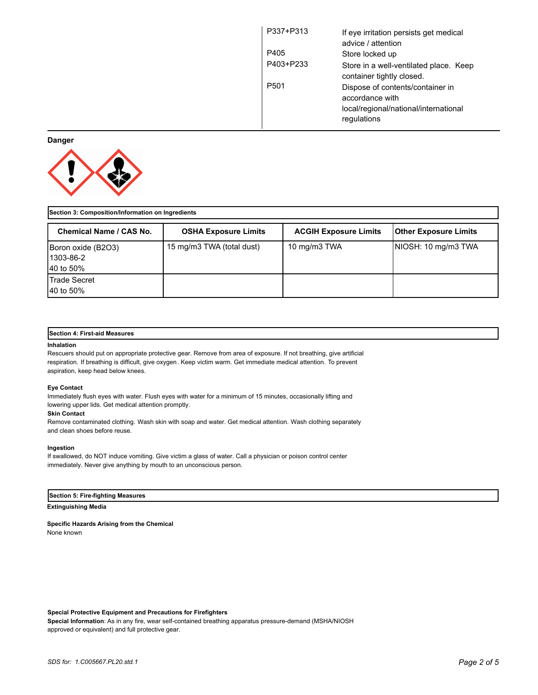| P337+P313        | If eye irritation persists get medical<br>advice / attention                                                |
|------------------|-------------------------------------------------------------------------------------------------------------|
| P405             | Store locked up                                                                                             |
| P403+P233        | Store in a well-ventilated place. Keep<br>container tightly closed.                                         |
| P <sub>501</sub> | Dispose of contents/container in<br>accordance with<br>local/regional/national/international<br>regulations |

### **Danger**



| Section 3: Composition/Information on Ingredients    |                             |                              |                              |  |
|------------------------------------------------------|-----------------------------|------------------------------|------------------------------|--|
| <b>Chemical Name / CAS No.</b>                       | <b>OSHA Exposure Limits</b> | <b>ACGIH Exposure Limits</b> | <b>Other Exposure Limits</b> |  |
| Boron oxide (B2O3)<br>11303-86-2<br><b>40 to 50%</b> | 15 mg/m3 TWA (total dust)   | 10 mg/m3 TWA                 | NIOSH: 10 mg/m3 TWA          |  |
| <b>Trade Secret</b><br><b>40 to 50%</b>              |                             |                              |                              |  |

#### **Section 4: First-aid Measures**

#### **Inhalation**

Rescuers should put on appropriate protective gear. Remove from area of exposure. If not breathing, give artificial respiration. If breathing is difficult, give oxygen. Keep victim warm. Get immediate medical attention. To prevent aspiration, keep head below knees.

#### **Eye Contact**

Immediately flush eyes with water. Flush eyes with water for a minimum of 15 minutes, occasionally lifting and lowering upper lids. Get medical attention promptly.

#### **Skin Contact**

Remove contaminated clothing. Wash skin with soap and water. Get medical attention. Wash clothing separately and clean shoes before reuse.

#### **Ingestion**

If swallowed, do NOT induce vomiting. Give victim a glass of water. Call a physician or poison control center immediately. Never give anything by mouth to an unconscious person.

#### **Section 5: Fire-fighting Measures**

#### **Extinguishing Media**

**Specific Hazards Arising from the Chemical** None known

#### **Special Protective Equipment and Precautions for Firefighters**

**Special Information**: As in any fire, wear self-contained breathing apparatus pressure-demand (MSHA/NIOSH approved or equivalent) and full protective gear.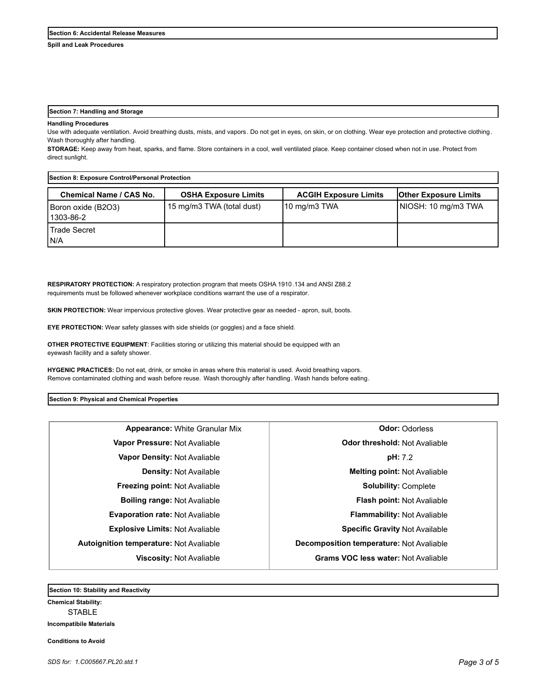**Spill and Leak Procedures**

#### **Section 7: Handling and Storage**

#### **Handling Procedures**

Use with adequate ventilation. Avoid breathing dusts, mists, and vapors. Do not get in eyes, on skin, or on clothing. Wear eye protection and protective clothing. Wash thoroughly after handling.

**STORAGE:** Keep away from heat, sparks, and flame. Store containers in a cool, well ventilated place. Keep container closed when not in use. Protect from direct sunlight.

| Section 8: Exposure Control/Personal Protection |                             |                              |                              |  |
|-------------------------------------------------|-----------------------------|------------------------------|------------------------------|--|
| Chemical Name / CAS No.                         | <b>OSHA Exposure Limits</b> | <b>ACGIH Exposure Limits</b> | <b>Other Exposure Limits</b> |  |
| Boron oxide (B2O3)<br>l 1303-86-2               | 15 mg/m3 TWA (total dust)   | $10 \text{ mg/m}$ 3 TWA      | NIOSH: 10 mg/m3 TWA          |  |
| l Trade Secret<br>IN/A                          |                             |                              |                              |  |

**RESPIRATORY PROTECTION:** A respiratory protection program that meets OSHA 1910.134 and ANSI Z88.2 requirements must be followed whenever workplace conditions warrant the use of a respirator.

**SKIN PROTECTION:** Wear impervious protective gloves. Wear protective gear as needed - apron, suit, boots.

**EYE PROTECTION:** Wear safety glasses with side shields (or goggles) and a face shield.

**OTHER PROTECTIVE EQUIPMENT**: Facilities storing or utilizing this material should be equipped with an eyewash facility and a safety shower.

**HYGENIC PRACTICES:** Do not eat, drink, or smoke in areas where this material is used. Avoid breathing vapors. Remove contaminated clothing and wash before reuse. Wash thoroughly after handling. Wash hands before eating.

#### **Section 9: Physical and Chemical Properties**

**Appearance:** White Granular Mix **Deparation Constanting Odor:** Odorless **Vapor Pressure:** Not Avaliable **Odor threshold:** Not Avaliable **Vapor Density:** Not Avaliable **pH:** 7.2 **Density:** Not Available **Melting point:** Not Avaliable **Freezing point:** Not Avaliable **Solubility:** Complete **Boiling range:** Not Avaliable **Flash point:** Not Avaliable **Evaporation rate:** Not Avaliable **Flammability:** Not Avaliable **Explosive Limits:** Not Avaliable **Specific Gravity** Not Available **Autoignition temperature:** Not Avaliable **Decomposition temperature:** Not Avaliable **Viscosity:** Not Avaliable **Grams VOC less water:** Not Avaliable

**Section 10: Stability and Reactivity** 

**Chemical Stability: STABLE Incompatibile Materials** 

**Conditions to Avoid**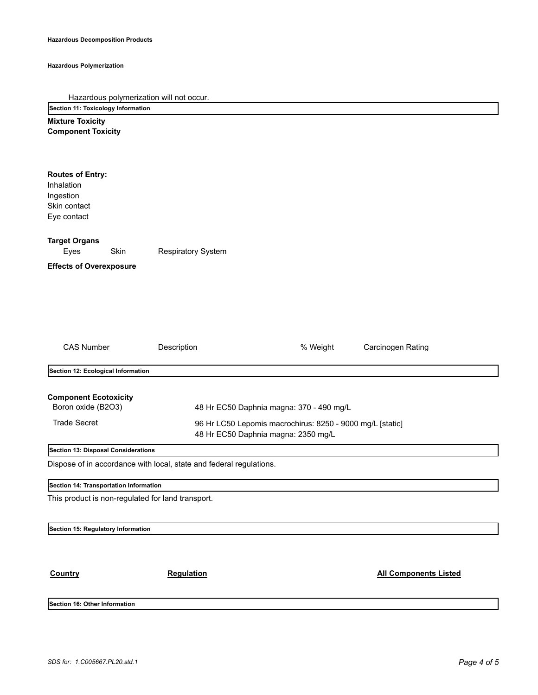#### **Hazardous Polymerization**

|  | Hazardous polymerization will not occur. |  |  |  |  |
|--|------------------------------------------|--|--|--|--|
|--|------------------------------------------|--|--|--|--|

**Section 11: Toxicology Information**

**Mixture Toxicity Component Toxicity**

| <b>Routes of Entry:</b><br>Inhalation<br>Ingestion<br>Skin contact<br>Eye contact                                                                                                                                         |                           |          |                              |  |
|---------------------------------------------------------------------------------------------------------------------------------------------------------------------------------------------------------------------------|---------------------------|----------|------------------------------|--|
| <b>Target Organs</b><br>Skin<br>Eyes                                                                                                                                                                                      | <b>Respiratory System</b> |          |                              |  |
| <b>Effects of Overexposure</b>                                                                                                                                                                                            |                           |          |                              |  |
| <b>CAS Number</b>                                                                                                                                                                                                         | <b>Description</b>        | % Weight | <b>Carcinogen Rating</b>     |  |
| Section 12: Ecological Information                                                                                                                                                                                        |                           |          |                              |  |
| <b>Component Ecotoxicity</b><br>Boron oxide (B2O3)<br>48 Hr EC50 Daphnia magna: 370 - 490 mg/L<br><b>Trade Secret</b><br>96 Hr LC50 Lepomis macrochirus: 8250 - 9000 mg/L [static]<br>48 Hr EC50 Daphnia magna: 2350 mg/L |                           |          |                              |  |
| Section 13: Disposal Considerations                                                                                                                                                                                       |                           |          |                              |  |
| Dispose of in accordance with local, state and federal regulations.                                                                                                                                                       |                           |          |                              |  |
| Section 14: Transportation Information                                                                                                                                                                                    |                           |          |                              |  |
| This product is non-regulated for land transport.                                                                                                                                                                         |                           |          |                              |  |
| Section 15: Regulatory Information                                                                                                                                                                                        |                           |          |                              |  |
| Country<br>Section 16: Other Information                                                                                                                                                                                  | Regulation                |          | <b>All Components Listed</b> |  |